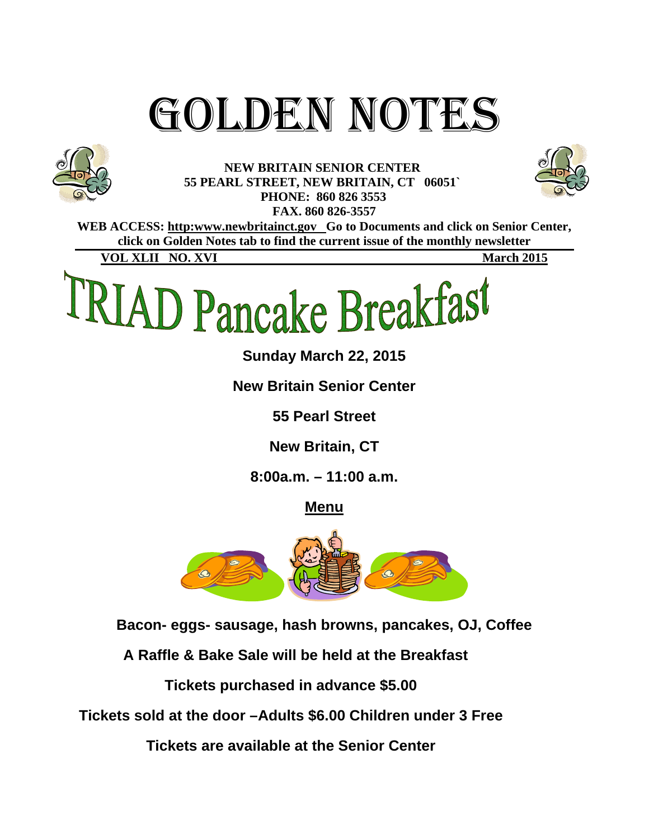# GOLDEN NOTES



**NEW BRITAIN SENIOR CENTER 55 PEARL STREET, NEW BRITAIN, CT 06051` PHONE: 860 826 3553 FAX. 860 826-3557** 



WEB ACCESS: http:www.newbritainct.gov Go to Documents and click on Senior Center, **click on Golden Notes tab to find the current issue of the monthly newsletter** 

**VOL XLII NO. XVI** March 2015



**Sunday March 22, 2015** 

**New Britain Senior Center** 

**55 Pearl Street** 

**New Britain, CT** 

**8:00a.m. – 11:00 a.m.** 

**Menu**



**Bacon- eggs- sausage, hash browns, pancakes, OJ, Coffee** 

**A Raffle & Bake Sale will be held at the Breakfast** 

**Tickets purchased in advance \$5.00** 

**Tickets sold at the door –Adults \$6.00 Children under 3 Free** 

**Tickets are available at the Senior Center**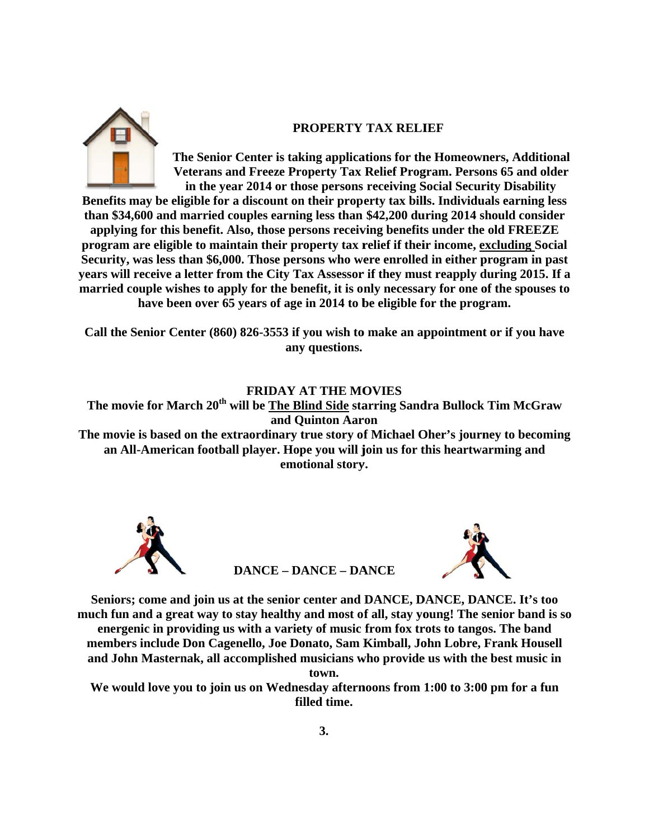

## **PROPERTY TAX RELIEF**

**The Senior Center is taking applications for the Homeowners, Additional** Veterans and Freeze Property Tax Relief Program. Persons 65 and older in the year 2014 or those persons receiving Social Security Disability

Benefits may be eligible for a discount on their property tax bills. Individuals earning less **than \$34,600 and married couples earning less than \$42,200 during 2014 should consider** applying for this benefit. Also, those persons receiving benefits under the old FREEZE **program** are eligible to maintain their property tax relief if their income, excluding Social Security, was less than \$6,000. Those persons who were enrolled in either program in past **years will receive a letter from the City Tax Assessor if they must reapply during 2015. If a** married couple wishes to apply for the benefit, it is only necessary for one of the spouses to have been over 65 years of age in 2014 to be eligible for the program.

Call the Senior Center (860) 826-3553 if you wish to make an appointment or if you have **any y questions.**

**FRIDAY A AT THE MO OVIES** 

**The m movie for Ma arch 20th wi ll be The Bl lind Side sta arring Sand dra Bullock Tim McGr raw**  and Quinton Aaron

The movie is based on the extraordinary true story of Michael Oher's journey to becoming an All-American football player. Hope you will join us for this heartwarming and emotional story.



**DANCE – DANCE – DANCE** 



Seniors; come and join us at the senior center and DANCE, DANCE, DANCE. It's too much fun and a great way to stay healthy and most of all, stay young! The senior band is so energenic in providing us with a variety of music from fox trots to tangos. The band energenic in providing us with a variety of music from fox trots to tangos. The band<br>members include Don Cagenello, Joe Donato, Sam Kimball, John Lobre, Frank Housell and John Masternak, all accomplished musicians who provide us with the best music in

**town.** 

We would love you to join us on Wednesday afternoons from 1:00 to 3:00 pm for a fun **fi lled time.**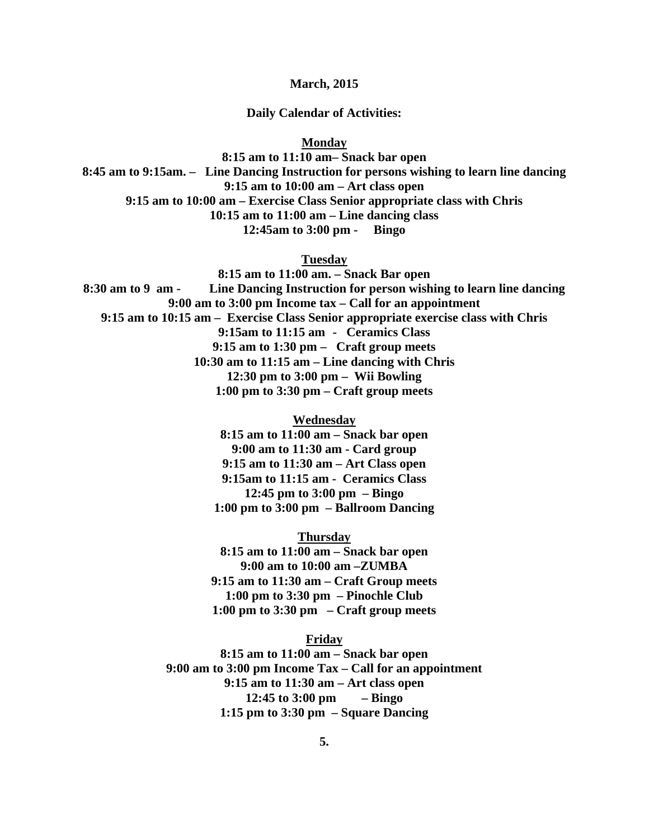**March, 2015** 

**Daily Calendar of Activities:** 

**Monday** 

**8:15 am to 11:10 am– Snack bar open 8:45 am to 9:15am. – Line Dancing Instruction for persons wishing to learn line dancing 9:15 am to 10:00 am – Art class open 9:15 am to 10:00 am – Exercise Class Senior appropriate class with Chris 10:15 am to 11:00 am – Line dancing class 12:45am to 3:00 pm - Bingo** 

**Tuesday** 

**8:15 am to 11:00 am. – Snack Bar open 8:30 am to 9 am - Line Dancing Instruction for person wishing to learn line dancing 9:00 am to 3:00 pm Income tax – Call for an appointment 9:15 am to 10:15 am – Exercise Class Senior appropriate exercise class with Chris 9:15am to 11:15 am - Ceramics Class 9:15 am to 1:30 pm – Craft group meets 10:30 am to 11:15 am – Line dancing with Chris 12:30 pm to 3:00 pm – Wii Bowling 1:00 pm to 3:30 pm – Craft group meets** 

> **Wednesday 8:15 am to 11:00 am – Snack bar open 9:00 am to 11:30 am - Card group 9:15 am to 11:30 am – Art Class open 9:15am to 11:15 am - Ceramics Class 12:45 pm to 3:00 pm – Bingo 1:00 pm to 3:00 pm – Ballroom Dancing**

**Thursday 8:15 am to 11:00 am – Snack bar open 9:00 am to 10:00 am –ZUMBA 9:15 am to 11:30 am – Craft Group meets 1:00 pm to 3:30 pm – Pinochle Club 1:00 pm to 3:30 pm – Craft group meets** 

**Friday** 

**8:15 am to 11:00 am – Snack bar open 9:00 am to 3:00 pm Income Tax – Call for an appointment 9:15 am to 11:30 am – Art class open 12:45 to 3:00 pm – Bingo 1:15 pm to 3:30 pm – Square Dancing**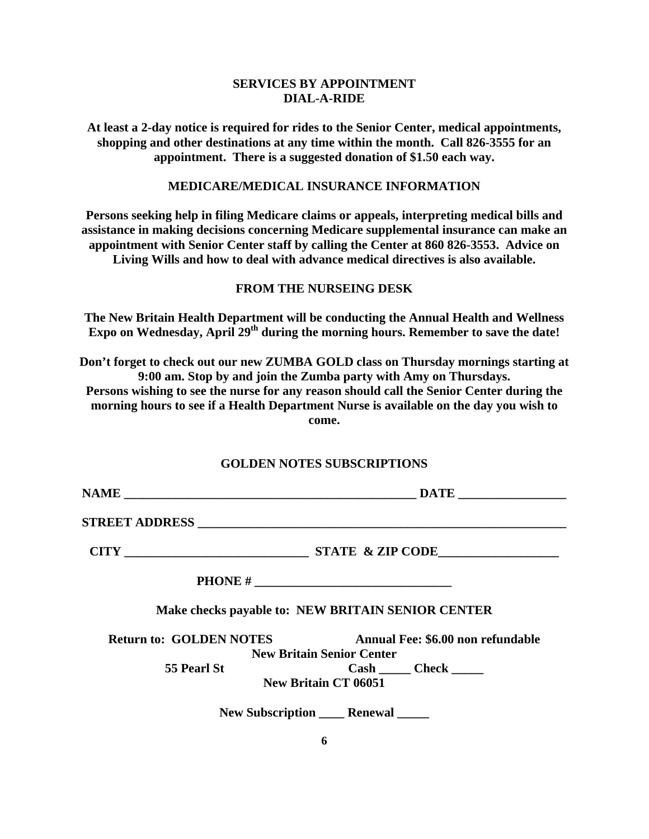## **SERVICES BY APPOINTMENT DIAL-A-RIDE**

**At least a 2-day notice is required for rides to the Senior Center, medical appointments, shopping and other destinations at any time within the month. Call 826-3555 for an appointment. There is a suggested donation of \$1.50 each way.** 

#### **MEDICARE/MEDICAL INSURANCE INFORMATION**

**Persons seeking help in filing Medicare claims or appeals, interpreting medical bills and assistance in making decisions concerning Medicare supplemental insurance can make an appointment with Senior Center staff by calling the Center at 860 826-3553. Advice on Living Wills and how to deal with advance medical directives is also available.** 

## **FROM THE NURSEING DESK**

**The New Britain Health Department will be conducting the Annual Health and Wellness**  Expo on Wednesday, April 29<sup>th</sup> during the morning hours. Remember to save the date!

**Don't forget to check out our new ZUMBA GOLD class on Thursday mornings starting at 9:00 am. Stop by and join the Zumba party with Amy on Thursdays. Persons wishing to see the nurse for any reason should call the Senior Center during the morning hours to see if a Health Department Nurse is available on the day you wish to come.** 

#### **GOLDEN NOTES SUBSCRIPTIONS**

|                                | Make checks payable to: NEW BRITAIN SENIOR CENTER |  |  |  |  |  |
|--------------------------------|---------------------------------------------------|--|--|--|--|--|
| <b>Return to: GOLDEN NOTES</b> | Annual Fee: \$6.00 non refundable                 |  |  |  |  |  |
|                                | <b>New Britain Senior Center</b>                  |  |  |  |  |  |
| <b>55 Pearl St</b>             | $\text{Cash}$ $\qquad$ $\text{Check}$ $\qquad$    |  |  |  |  |  |
|                                | <b>New Britain CT 06051</b>                       |  |  |  |  |  |
|                                | New Subscription Renewal                          |  |  |  |  |  |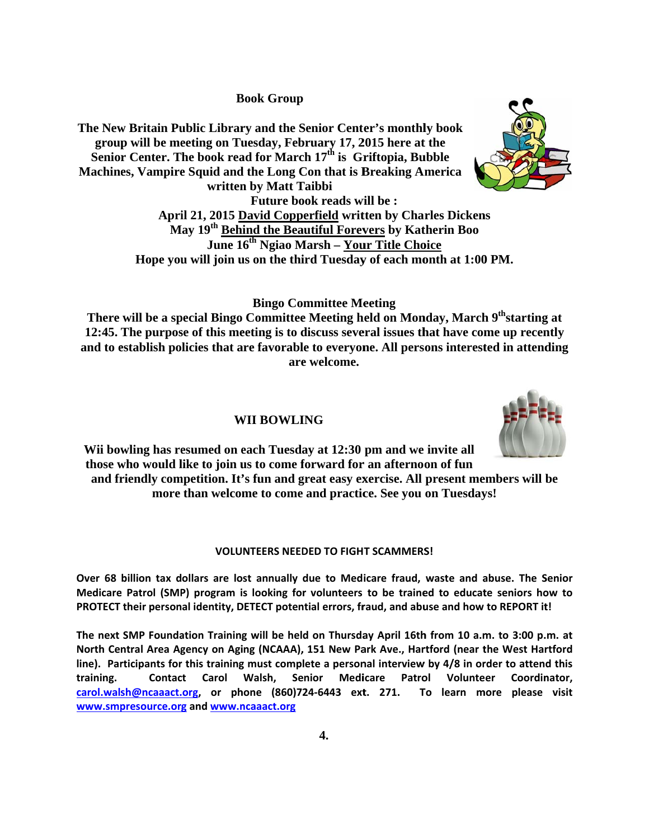**B Book Group**

The New Britain Public Library and the Senior Center's monthly book group will be meeting on Tuesday, February 17, 2015 here at the Senior Center. The book read for March 17<sup>th</sup> is Griftopia, Bubble **Machines, Vampire Squid and the Long Con that is Breaking America written n by Matt T Taibbi Future bo ook reads w will be :** 



April 21, 2015 David Copperfield written by Charles Dickens **May 19<sup>th</sup> Behind the Beautiful Forevers by Katherin Boo** Hope you will join us on the third Tuesday of each month at 1:00 PM. **June 16<sup>th</sup> Ngiao Marsh – Your Title Choice** 

**Bingo Committee Meeting** 

**There will be a special Bingo Committee Meeting held on Monday, March 9<sup>th</sup>starting at** 12:45. The purpose of this meeting is to discuss several issues that have come up recently and to establish policies that are favorable to everyone. All persons interested in attending **are e welcome.** 

#### **W WII BOWLI ING**



Wii bowling has resumed on each Tuesday at 12:30 pm and we invite all those who would like to join us to come forward for an afternoon of fun and friendly competition. It's fun and great easy exercise. All present members will be more than welcome to come and practice. See you on Tuesdays!

#### **VOLU NTEERS NEED DED TO FIGH T SCAMMERS S!**

Over 68 billion tax dollars are lost annually due to Medicare fraud, waste and abuse. The Senior Medicare Patrol (SMP) program is looking for volunteers to be trained to educate seniors how to PROTECT their personal identity, DETECT potential errors, fraud, and abuse and how to REPORT it!

The next SMP Foundation Training will be held on Thursday April 16th from 10 a.m. to 3:00 p.m. at North Central Area Agency on Aging (NCAAA), 151 New Park Ave., Hartford (near the West Hartford line). Participants for this training must complete a personal interview by 4/8 in order to attend this **training.** carol.walsh@ncaaact.org, or phone (860)724-6443 ext. 271. To learn more please visit **www.smp presource.org g and www.n ncaaact.org Contac ct Carol Walsh, Se enior Medi icare Patro Patrol Volunteer er Coordin nator,**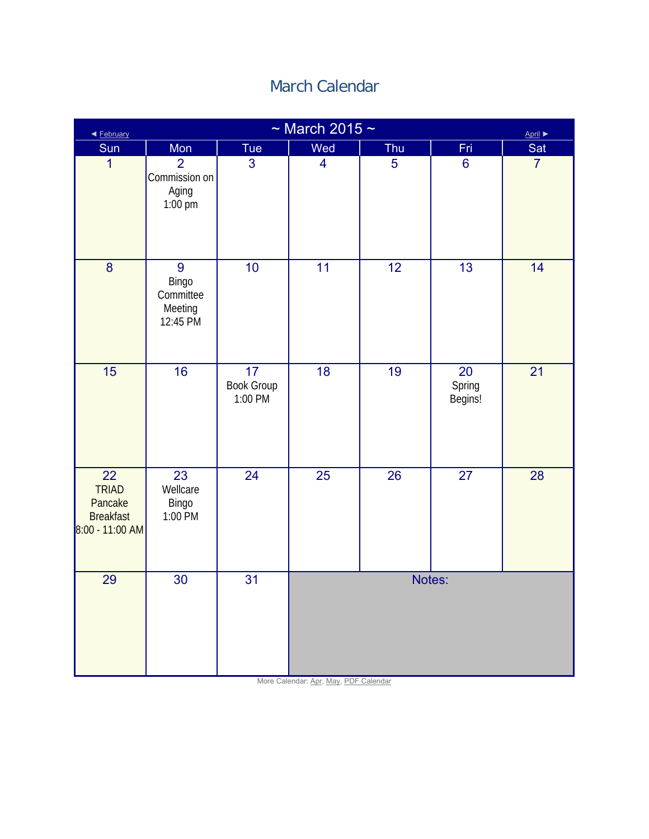# March Calendar

| ◀ February                                                           | $\sim$ March 2015 $\sim$<br>April ▶                 |                                          |                         |                 |                         |                |  |  |  |
|----------------------------------------------------------------------|-----------------------------------------------------|------------------------------------------|-------------------------|-----------------|-------------------------|----------------|--|--|--|
| Sun                                                                  | Mon                                                 | Tue                                      | Wed                     | Thu             | Fri                     | Sat            |  |  |  |
| $\overline{1}$                                                       | $\overline{2}$<br>Commission on<br>Aging<br>1:00 pm | 3                                        | $\overline{\mathbf{4}}$ | 5               | $6\phantom{1}6$         | $\overline{7}$ |  |  |  |
| 8                                                                    | 9<br>Bingo<br>Committee<br>Meeting<br>12:45 PM      | 10                                       | 11                      | $\overline{12}$ | $\overline{13}$         | 14             |  |  |  |
| 15                                                                   | 16                                                  | $\overline{17}$<br>Book Group<br>1:00 PM | 18                      | 19              | 20<br>Spring<br>Begins! | 21             |  |  |  |
| 22<br><b>TRIAD</b><br>Pancake<br><b>Breakfast</b><br>8:00 - 11:00 AM | 23<br>Wellcare<br>Bingo<br>1:00 PM                  | $\overline{24}$                          | 25                      | 26              | $\overline{27}$         | 28             |  |  |  |
| 29                                                                   | $\overline{30}$                                     | $\overline{31}$                          |                         | Notes:          |                         |                |  |  |  |

More Calendar: Apr, May, PDF Calendar